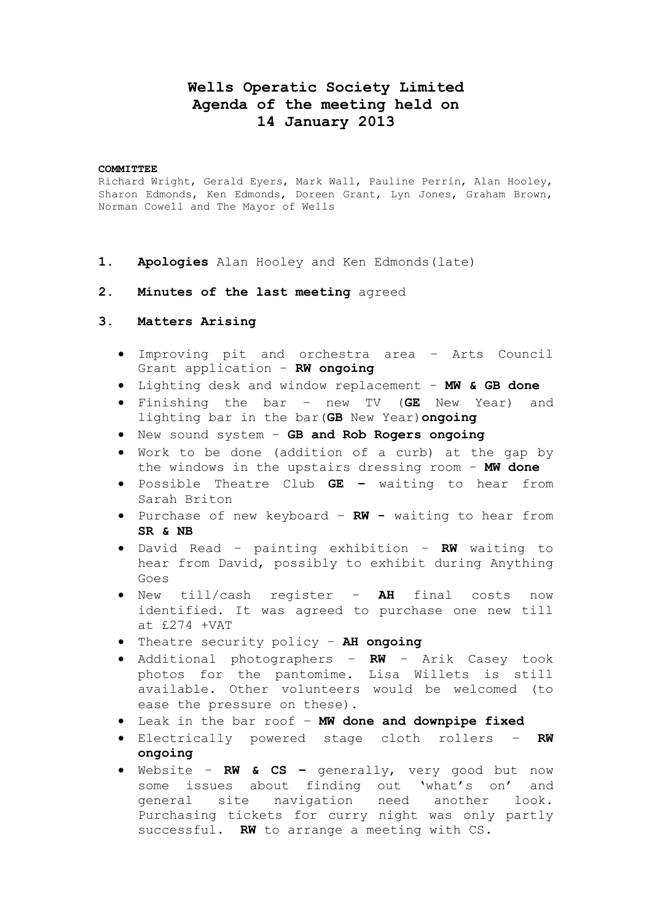# **Wells Operatic Society Limited Agenda of the meeting held on 14 January 2013**

#### **COMMITTEE**

Richard Wright, Gerald Eyers, Mark Wall, Pauline Perrin, Alan Hooley, Sharon Edmonds, Ken Edmonds, Doreen Grant, Lyn Jones, Graham Brown, Norman Cowell and The Mayor of Wells

- **1. Apologies** Alan Hooley and Ken Edmonds(late)
- **2. Minutes of the last meeting** agreed

## **3. Matters Arising**

- Improving pit and orchestra area Arts Council Grant application – **RW ongoing**
- Lighting desk and window replacement **MW & GB done**
- Finishing the bar new TV (**GE** New Year) and lighting bar in the bar(**GB** New Year)**ongoing**
- New sound system **GB and Rob Rogers ongoing**
- Work to be done (addition of a curb) at the gap by the windows in the upstairs dressing room – **MW done**
- Possible Theatre Club **GE –** waiting to hear from Sarah Briton
- Purchase of new keyboard **RW -** waiting to hear from **SR & NB**
- David Read painting exhibition **RW** waiting to hear from David, possibly to exhibit during Anything Goes
- New till/cash register **AH** final costs now identified. It was agreed to purchase one new till at £274 +VAT
- Theatre security policy **AH ongoing**
- Additional photographers **RW** Arik Casey took photos for the pantomime. Lisa Willets is still available. Other volunteers would be welcomed (to ease the pressure on these).
- Leak in the bar roof **MW done and downpipe fixed**
- Electrically powered stage cloth rollers **RW ongoing**
- Website **RW & CS –** generally, very good but now some issues about finding out 'what's on' and general site navigation need another look. Purchasing tickets for curry night was only partly successful. **RW** to arrange a meeting with CS.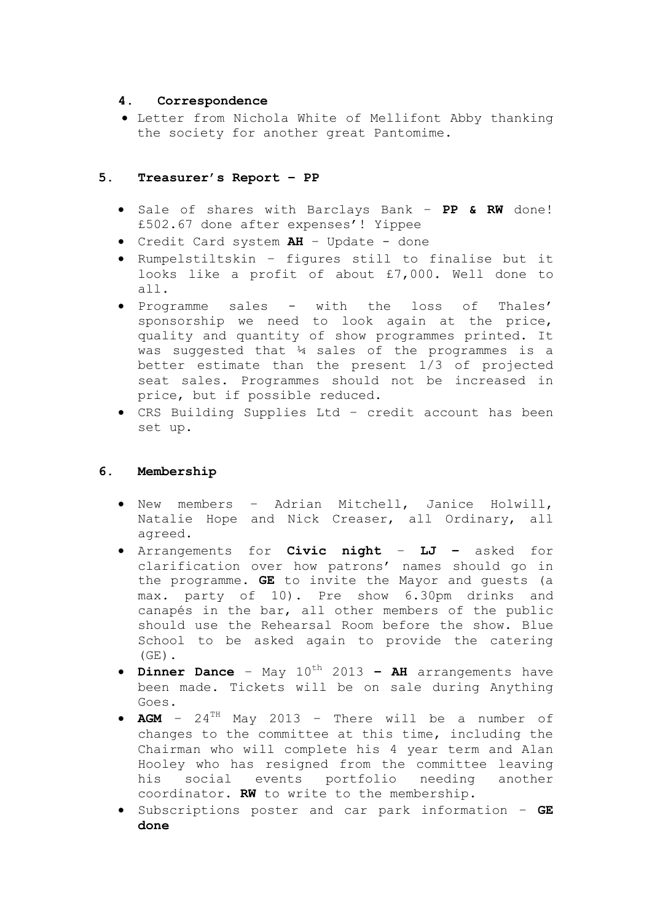## **4. Correspondence**

 Letter from Nichola White of Mellifont Abby thanking the society for another great Pantomime.

## **5. Treasurer's Report – PP**

- Sale of shares with Barclays Bank **PP & RW** done! £502.67 done after expenses'! Yippee
- Credit Card system **AH** Update done
- Rumpelstiltskin figures still to finalise but it looks like a profit of about £7,000. Well done to all.
- Programme sales with the loss of Thales' sponsorship we need to look again at the price, quality and quantity of show programmes printed. It was suggested that ¼ sales of the programmes is a better estimate than the present 1/3 of projected seat sales. Programmes should not be increased in price, but if possible reduced.
- CRS Building Supplies Ltd credit account has been set up.

## **6. Membership**

- New members Adrian Mitchell, Janice Holwill, Natalie Hope and Nick Creaser, all Ordinary, all agreed.
- Arrangements for **Civic night LJ –** asked for clarification over how patrons' names should go in the programme. **GE** to invite the Mayor and guests (a max. party of 10). Pre show 6.30pm drinks and canapés in the bar, all other members of the public should use the Rehearsal Room before the show. Blue School to be asked again to provide the catering  $(GE)$ .
- **Dinner Dance** May  $10^{th}$  2013 **AH** arrangements have been made. Tickets will be on sale during Anything Goes.
- **AGM** 24TH May 2013 There will be a number of changes to the committee at this time, including the Chairman who will complete his 4 year term and Alan Hooley who has resigned from the committee leaving his social events portfolio needing another coordinator. **RW** to write to the membership.
- Subscriptions poster and car park information **GE done**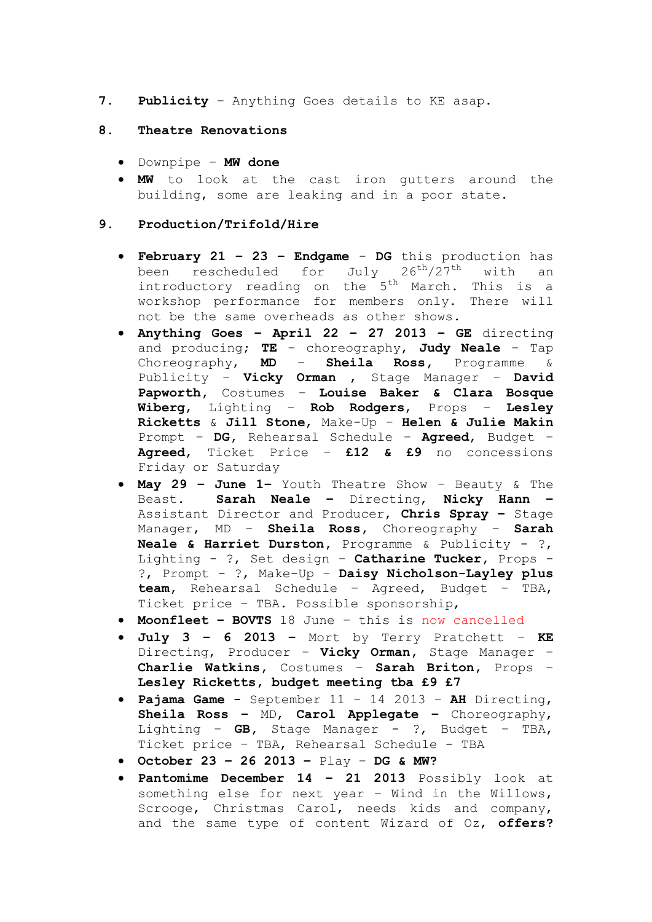**7. Publicity** – Anything Goes details to KE asap.

### **8. Theatre Renovations**

- Downpipe **MW done**
- **MW** to look at the cast iron gutters around the building, some are leaking and in a poor state.

### **9. Production/Trifold/Hire**

- **February 21 – 23 – Endgame DG** this production has been rescheduled for July  $26^{th}/27^{th}$  with an introductory reading on the 5<sup>th</sup> March. This is a workshop performance for members only. There will not be the same overheads as other shows.
- **Anything Goes – April 22 – 27 2013 – GE** directing and producing; **TE** – choreography, **Judy Neale** – Tap Choreography, **MD** – **Sheila Ross,** Programme & Publicity – **Vicky Orman** , Stage Manager – **David Papworth,** Costumes – **Louise Baker & Clara Bosque Wiberg**, Lighting – **Rob Rodgers**, Props – **Lesley Ricketts** & **Jill Stone**, Make-Up – **Helen & Julie Makin** Prompt – **DG,** Rehearsal Schedule – **Agreed**, Budget – **Agreed**, Ticket Price – **£12 & £9** no concessions Friday or Saturday
- **May 29 – June 1–** Youth Theatre Show Beauty & The Beast. **Sarah Neale –** Directing, **Nicky Hann –** Assistant Director and Producer, **Chris Spray –** Stage Manager, MD – **Sheila Ross,** Choreography – **Sarah Neale & Harriet Durston,** Programme & Publicity - ?, Lighting - ?, Set design – **Catharine Tucker,** Props - ?, Prompt - ?, Make-Up – **Daisy Nicholson-Layley plus team,** Rehearsal Schedule – Agreed, Budget – TBA, Ticket price – TBA. Possible sponsorship,
- **Moonfleet – BOVTS** 18 June this is now cancelled
- **July 3 – 6 2013 –** Mort by Terry Pratchett **KE**  Directing, Producer – **Vicky Orman,** Stage Manager – **Charlie Watkins,** Costumes – **Sarah Briton,** Props – **Lesley Ricketts, budget meeting tba £9 £7**
- **Pajama Game -** September 11 14 2013 **AH** Directing, **Sheila Ross –** MD, **Carol Applegate –** Choreography, Lighting – **GB,** Stage Manager - ?, Budget – TBA, Ticket price – TBA, Rehearsal Schedule - TBA
- **October 23 – 26 2013 –** Play **DG & MW?**
- **Pantomime December 14 – 21 2013** Possibly look at something else for next year – Wind in the Willows, Scrooge, Christmas Carol, needs kids and company, and the same type of content Wizard of Oz, **offers?**